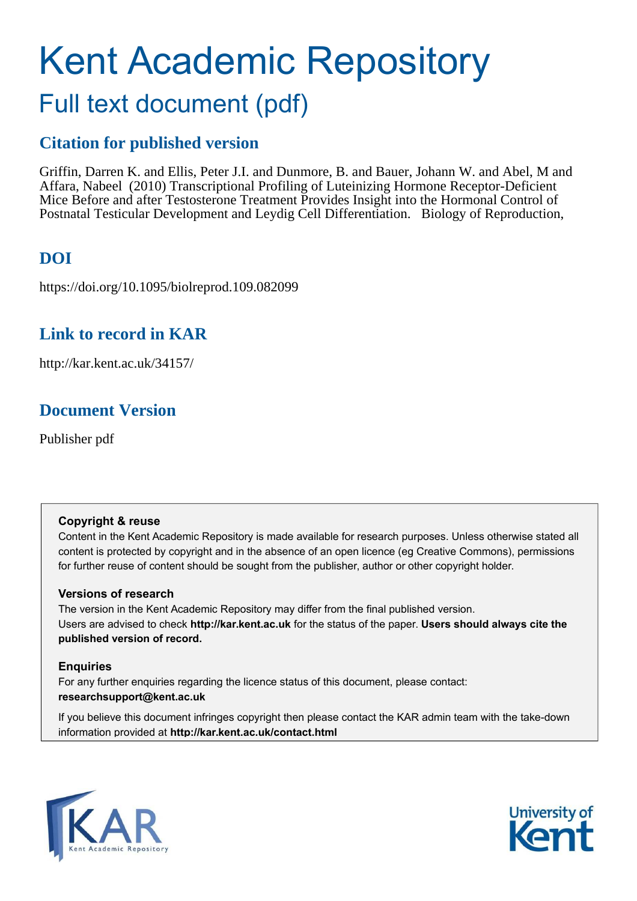# Kent Academic Repository Full text document (pdf)

# **Citation for published version**

Griffin, Darren K. and Ellis, Peter J.I. and Dunmore, B. and Bauer, Johann W. and Abel, M and Affara, Nabeel (2010) Transcriptional Profiling of Luteinizing Hormone Receptor-Deficient Mice Before and after Testosterone Treatment Provides Insight into the Hormonal Control of Postnatal Testicular Development and Leydig Cell Differentiation. Biology of Reproduction,

# **DOI**

https://doi.org/10.1095/biolreprod.109.082099

# **Link to record in KAR**

http://kar.kent.ac.uk/34157/

# **Document Version**

Publisher pdf

### **Copyright & reuse**

Content in the Kent Academic Repository is made available for research purposes. Unless otherwise stated all content is protected by copyright and in the absence of an open licence (eg Creative Commons), permissions for further reuse of content should be sought from the publisher, author or other copyright holder.

### **Versions of research**

The version in the Kent Academic Repository may differ from the final published version. Users are advised to check **http://kar.kent.ac.uk** for the status of the paper. **Users should always cite the published version of record.**

### **Enquiries**

For any further enquiries regarding the licence status of this document, please contact: **researchsupport@kent.ac.uk**

If you believe this document infringes copyright then please contact the KAR admin team with the take-down information provided at **http://kar.kent.ac.uk/contact.html**



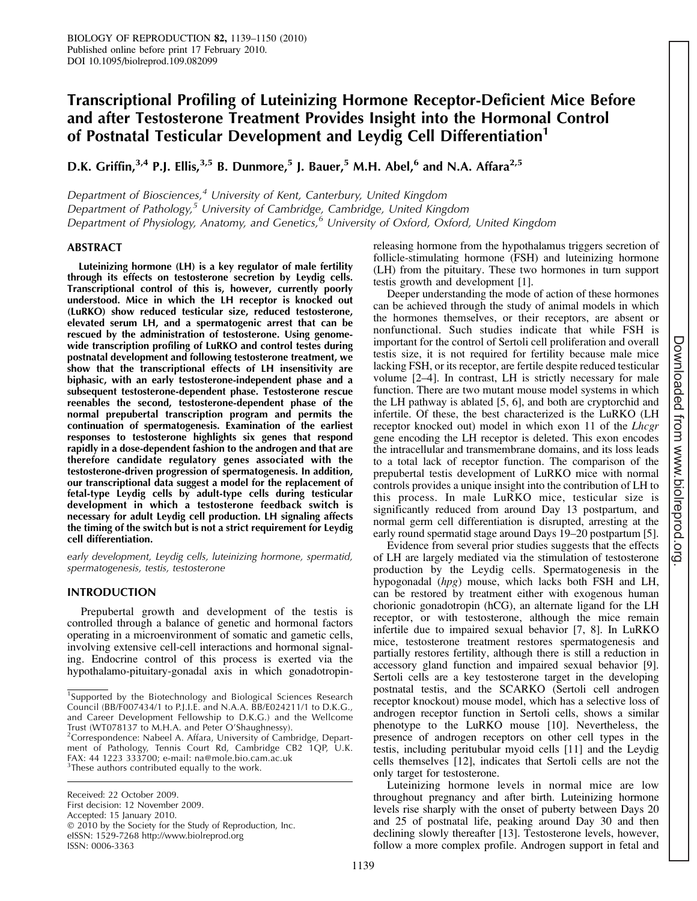### Transcriptional Profiling of Luteinizing Hormone Receptor-Deficient Mice Before and after Testosterone Treatment Provides Insight into the Hormonal Control of Postnatal Testicular Development and Leydig Cell Differentiation<sup>1</sup>

D.K. Griffin,<sup>3,4</sup> P.J. Ellis,<sup>3,5</sup> B. Dunmore,<sup>5</sup> J. Bauer,<sup>5</sup> M.H. Abel,<sup>6</sup> and N.A. Affara<sup>2,5</sup>

Department of Biosciences,<sup>4</sup> University of Kent, Canterbury, United Kingdom Department of Pathology,<sup>5</sup> University of Cambridge, Cambridge, United Kingdom Department of Physiology, Anatomy, and Genetics,  $\frac{6}{5}$  University of Oxford, Oxford, United Kingdom

#### ABSTRACT

Luteinizing hormone (LH) is a key regulator of male fertility through its effects on testosterone secretion by Leydig cells. Transcriptional control of this is, however, currently poorly understood. Mice in which the LH receptor is knocked out (LuRKO) show reduced testicular size, reduced testosterone, elevated serum LH, and a spermatogenic arrest that can be rescued by the administration of testosterone. Using genomewide transcription profiling of LuRKO and control testes during postnatal development and following testosterone treatment, we show that the transcriptional effects of LH insensitivity are biphasic, with an early testosterone-independent phase and a subsequent testosterone-dependent phase. Testosterone rescue reenables the second, testosterone-dependent phase of the normal prepubertal transcription program and permits the continuation of spermatogenesis. Examination of the earliest responses to testosterone highlights six genes that respond rapidly in a dose-dependent fashion to the androgen and that are therefore candidate regulatory genes associated with the testosterone-driven progression of spermatogenesis. In addition, our transcriptional data suggest a model for the replacement of fetal-type Leydig cells by adult-type cells during testicular development in which a testosterone feedback switch is necessary for adult Leydig cell production. LH signaling affects the timing of the switch but is not a strict requirement for Leydig cell differentiation.

early development, Leydig cells, luteinizing hormone, spermatid, spermatogenesis, testis, testosterone

#### INTRODUCTION

Prepubertal growth and development of the testis is controlled through a balance of genetic and hormonal factors operating in a microenvironment of somatic and gametic cells, involving extensive cell-cell interactions and hormonal signaling. Endocrine control of this process is exerted via the hypothalamo-pituitary-gonadal axis in which gonadotropin-

 $2$ Correspondence: Nabeel A. Affara, University of Cambridge, Department of Pathology, Tennis Court Rd, Cambridge CB2 1QP, U.K. FAX: 44 1223 333700; e-mail: na@mole.bio.cam.ac.uk  $3$ These authors contributed equally to the work.

Received: 22 October 2009. First decision: 12 November 2009. Accepted: 15 January 2010.  $© 2010$  by the Society for the Study of Reproduction, Inc. eISSN: 1529-7268 http://www.biolreprod.org ISSN: 0006-3363

releasing hormone from the hypothalamus triggers secretion of follicle-stimulating hormone (FSH) and luteinizing hormone (LH) from the pituitary. These two hormones in turn support testis growth and development [1].

Deeper understanding the mode of action of these hormones can be achieved through the study of animal models in which the hormones themselves, or their receptors, are absent or nonfunctional. Such studies indicate that while FSH is important for the control of Sertoli cell proliferation and overall testis size, it is not required for fertility because male mice lacking FSH, or its receptor, are fertile despite reduced testicular volume [2–4]. In contrast, LH is strictly necessary for male function. There are two mutant mouse model systems in which the LH pathway is ablated [5, 6], and both are cryptorchid and infertile. Of these, the best characterized is the LuRKO (LH receptor knocked out) model in which exon 11 of the *Lhcgr* gene encoding the LH receptor is deleted. This exon encodes the intracellular and transmembrane domains, and its loss leads to a total lack of receptor function. The comparison of the prepubertal testis development of LuRKO mice with normal controls provides a unique insight into the contribution of LH to this process. In male LuRKO mice, testicular size is significantly reduced from around Day 13 postpartum, and normal germ cell differentiation is disrupted, arresting at the early round spermatid stage around Days 19–20 postpartum [5].

Evidence from several prior studies suggests that the effects of LH are largely mediated via the stimulation of testosterone production by the Leydig cells. Spermatogenesis in the hypogonadal (hpg) mouse, which lacks both FSH and LH, can be restored by treatment either with exogenous human chorionic gonadotropin (hCG), an alternate ligand for the LH receptor, or with testosterone, although the mice remain infertile due to impaired sexual behavior [7, 8]. In LuRKO mice, testosterone treatment restores spermatogenesis and partially restores fertility, although there is still a reduction in accessory gland function and impaired sexual behavior [9]. Sertoli cells are a key testosterone target in the developing postnatal testis, and the SCARKO (Sertoli cell androgen receptor knockout) mouse model, which has a selective loss of androgen receptor function in Sertoli cells, shows a similar phenotype to the LuRKO mouse [10]. Nevertheless, the presence of androgen receptors on other cell types in the testis, including peritubular myoid cells [11] and the Leydig cells themselves [12], indicates that Sertoli cells are not the only target for testosterone.

Luteinizing hormone levels in normal mice are low throughout pregnancy and after birth. Luteinizing hormone levels rise sharply with the onset of puberty between Days 20 and 25 of postnatal life, peaking around Day 30 and then declining slowly thereafter [13]. Testosterone levels, however, follow a more complex profile. Androgen support in fetal and

<sup>&</sup>lt;sup>1</sup>Supported by the Biotechnology and Biological Sciences Research Council (BB/F007434/1 to P.J.I.E. and N.A.A. BB/E024211/1 to D.K.G., and Career Development Fellowship to D.K.G.) and the Wellcome Trust (WT078137 to M.H.A. and Peter O'Shaughnessy).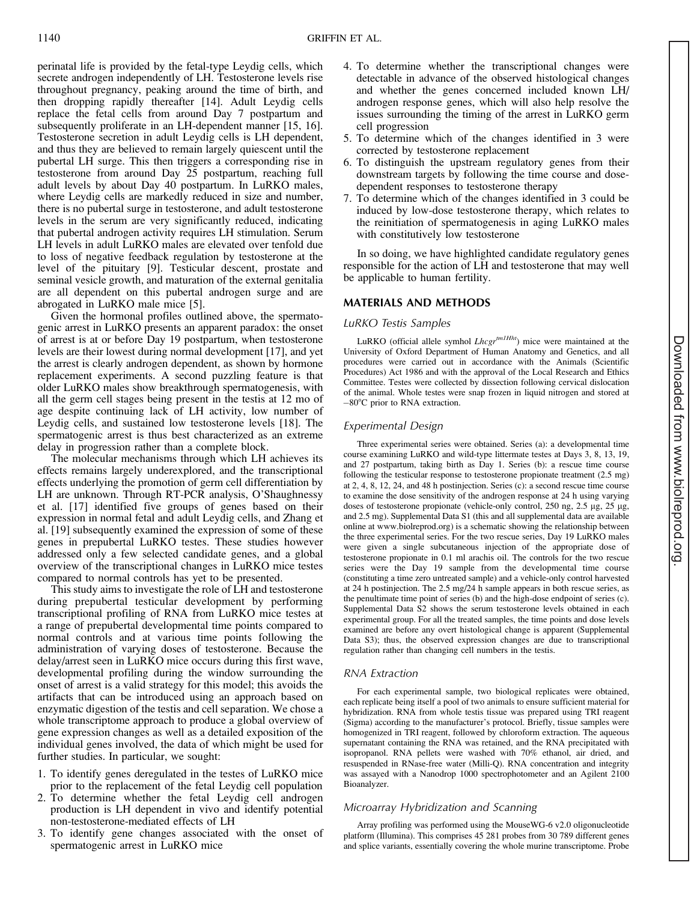perinatal life is provided by the fetal-type Leydig cells, which secrete androgen independently of LH. Testosterone levels rise throughout pregnancy, peaking around the time of birth, and then dropping rapidly thereafter [14]. Adult Leydig cells replace the fetal cells from around Day 7 postpartum and subsequently proliferate in an LH-dependent manner [15, 16]. Testosterone secretion in adult Leydig cells is LH dependent, and thus they are believed to remain largely quiescent until the pubertal LH surge. This then triggers a corresponding rise in testosterone from around Day 25 postpartum, reaching full adult levels by about Day 40 postpartum. In LuRKO males, where Leydig cells are markedly reduced in size and number, there is no pubertal surge in testosterone, and adult testosterone levels in the serum are very significantly reduced, indicating that pubertal androgen activity requires LH stimulation. Serum LH levels in adult LuRKO males are elevated over tenfold due to loss of negative feedback regulation by testosterone at the level of the pituitary [9]. Testicular descent, prostate and seminal vesicle growth, and maturation of the external genitalia are all dependent on this pubertal androgen surge and are abrogated in LuRKO male mice [5].

Given the hormonal profiles outlined above, the spermatogenic arrest in LuRKO presents an apparent paradox: the onset of arrest is at or before Day 19 postpartum, when testosterone levels are their lowest during normal development [17], and yet the arrest is clearly androgen dependent, as shown by hormone replacement experiments. A second puzzling feature is that older LuRKO males show breakthrough spermatogenesis, with all the germ cell stages being present in the testis at 12 mo of age despite continuing lack of LH activity, low number of Leydig cells, and sustained low testosterone levels [18]. The spermatogenic arrest is thus best characterized as an extreme delay in progression rather than a complete block.

The molecular mechanisms through which LH achieves its effects remains largely underexplored, and the transcriptional effects underlying the promotion of germ cell differentiation by LH are unknown. Through RT-PCR analysis, O'Shaughnessy et al. [17] identified five groups of genes based on their expression in normal fetal and adult Leydig cells, and Zhang et al. [19] subsequently examined the expression of some of these genes in prepubertal LuRKO testes. These studies however addressed only a few selected candidate genes, and a global overview of the transcriptional changes in LuRKO mice testes compared to normal controls has yet to be presented.

This study aims to investigate the role of LH and testosterone during prepubertal testicular development by performing transcriptional profiling of RNA from LuRKO mice testes at a range of prepubertal developmental time points compared to normal controls and at various time points following the administration of varying doses of testosterone. Because the delay/arrest seen in LuRKO mice occurs during this first wave, developmental profiling during the window surrounding the onset of arrest is a valid strategy for this model; this avoids the artifacts that can be introduced using an approach based on enzymatic digestion of the testis and cell separation. We chose a whole transcriptome approach to produce a global overview of gene expression changes as well as a detailed exposition of the individual genes involved, the data of which might be used for further studies. In particular, we sought:

- 1. To identify genes deregulated in the testes of LuRKO mice prior to the replacement of the fetal Leydig cell population
- 2. To determine whether the fetal Leydig cell androgen production is LH dependent in vivo and identify potential non-testosterone-mediated effects of LH
- 3. To identify gene changes associated with the onset of spermatogenic arrest in LuRKO mice
- 4. To determine whether the transcriptional changes were detectable in advance of the observed histological changes and whether the genes concerned included known LH/ androgen response genes, which will also help resolve the issues surrounding the timing of the arrest in LuRKO germ cell progression
- 5. To determine which of the changes identified in 3 were corrected by testosterone replacement
- 6. To distinguish the upstream regulatory genes from their downstream targets by following the time course and dosedependent responses to testosterone therapy
- 7. To determine which of the changes identified in 3 could be induced by low-dose testosterone therapy, which relates to the reinitiation of spermatogenesis in aging LuRKO males with constitutively low testosterone

In so doing, we have highlighted candidate regulatory genes responsible for the action of LH and testosterone that may well be applicable to human fertility.

#### MATERIALS AND METHODS

#### LuRKO Testis Samples

LuRKO (official allele symhol  $L \nvert_{\text{Cgr}}$ <sup>tm1Hht</sup>) mice were maintained at the University of Oxford Department of Human Anatomy and Genetics, and all procedures were carried out in accordance with the Animals (Scientific Procedures) Act 1986 and with the approval of the Local Research and Ethics Committee. Testes were collected by dissection following cervical dislocation of the animal. Whole testes were snap frozen in liquid nitrogen and stored at -80°C prior to RNA extraction.

#### Experimental Design

Three experimental series were obtained. Series (a): a developmental time course examining LuRKO and wild-type littermate testes at Days 3, 8, 13, 19, and 27 postpartum, taking birth as Day 1. Series (b): a rescue time course following the testicular response to testosterone propionate treatment (2.5 mg) at 2, 4, 8, 12, 24, and 48 h postinjection. Series (c): a second rescue time course to examine the dose sensitivity of the androgen response at 24 h using varying doses of testosterone propionate (vehicle-only control,  $250$  ng,  $2.5 \mu$ g,  $25 \mu$ g, and 2.5 mg). Supplemental Data S1 (this and all supplemental data are available online at www.biolreprod.org) is a schematic showing the relationship between the three experimental series. For the two rescue series, Day 19 LuRKO males were given a single subcutaneous injection of the appropriate dose of testosterone propionate in 0.1 ml arachis oil. The controls for the two rescue series were the Day 19 sample from the developmental time course (constituting a time zero untreated sample) and a vehicle-only control harvested at 24 h postinjection. The 2.5 mg/24 h sample appears in both rescue series, as the penultimate time point of series (b) and the high-dose endpoint of series (c). Supplemental Data S2 shows the serum testosterone levels obtained in each experimental group. For all the treated samples, the time points and dose levels examined are before any overt histological change is apparent (Supplemental Data S3); thus, the observed expression changes are due to transcriptional regulation rather than changing cell numbers in the testis.

#### RNA Extraction

For each experimental sample, two biological replicates were obtained, each replicate being itself a pool of two animals to ensure sufficient material for hybridization. RNA from whole testis tissue was prepared using TRI reagent (Sigma) according to the manufacturer's protocol. Briefly, tissue samples were homogenized in TRI reagent, followed by chloroform extraction. The aqueous supernatant containing the RNA was retained, and the RNA precipitated with isopropanol. RNA pellets were washed with 70% ethanol, air dried, and resuspended in RNase-free water (Milli-Q). RNA concentration and integrity was assayed with a Nanodrop 1000 spectrophotometer and an Agilent 2100 Bioanalyzer.

#### Microarray Hybridization and Scanning

Array profiling was performed using the MouseWG-6 v2.0 oligonucleotide platform (Illumina). This comprises 45 281 probes from 30 789 different genes and splice variants, essentially covering the whole murine transcriptome. Probe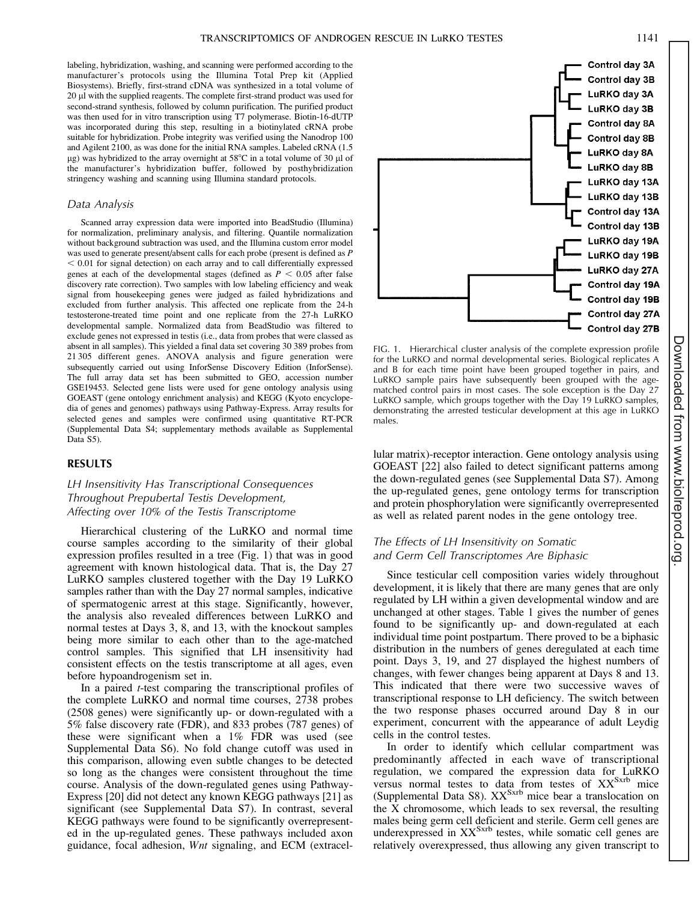labeling, hybridization, washing, and scanning were performed according to the manufacturer's protocols using the Illumina Total Prep kit (Applied Biosystems). Briefly, first-strand cDNA was synthesized in a total volume of 20 ll with the supplied reagents. The complete first-strand product was used for second-strand synthesis, followed by column purification. The purified product was then used for in vitro transcription using T7 polymerase. Biotin-16-dUTP was incorporated during this step, resulting in a biotinylated cRNA probe suitable for hybridization. Probe integrity was verified using the Nanodrop 100 and Agilent 2100, as was done for the initial RNA samples. Labeled cRNA (1.5  $\mu$ g) was hybridized to the array overnight at 58°C in a total volume of 30  $\mu$ l of the manufacturer's hybridization buffer, followed by posthybridization stringency washing and scanning using Illumina standard protocols.

#### Data Analysis

Scanned array expression data were imported into BeadStudio (Illumina) for normalization, preliminary analysis, and filtering. Quantile normalization without background subtraction was used, and the Illumina custom error model was used to generate present/absent calls for each probe (present is defined as P  $<$  0.01 for signal detection) on each array and to call differentially expressed genes at each of the developmental stages (defined as  $P < 0.05$  after false discovery rate correction). Two samples with low labeling efficiency and weak signal from housekeeping genes were judged as failed hybridizations and excluded from further analysis. This affected one replicate from the 24-h testosterone-treated time point and one replicate from the 27-h LuRKO developmental sample. Normalized data from BeadStudio was filtered to exclude genes not expressed in testis (i.e., data from probes that were classed as absent in all samples). This yielded a final data set covering 30 389 probes from 21 305 different genes. ANOVA analysis and figure generation were subsequently carried out using InforSense Discovery Edition (InforSense). The full array data set has been submitted to GEO, accession number GSE19453. Selected gene lists were used for gene ontology analysis using GOEAST (gene ontology enrichment analysis) and KEGG (Kyoto encyclopedia of genes and genomes) pathways using Pathway-Express. Array results for selected genes and samples were confirmed using quantitative RT-PCR (Supplemental Data S4; supplementary methods available as Supplemental Data S5).

#### RESULTS

#### LH Insensitivity Has Transcriptional Consequences Throughout Prepubertal Testis Development, Affecting over 10% of the Testis Transcriptome

Hierarchical clustering of the LuRKO and normal time course samples according to the similarity of their global expression profiles resulted in a tree (Fig. 1) that was in good agreement with known histological data. That is, the Day 27 LuRKO samples clustered together with the Day 19 LuRKO samples rather than with the Day 27 normal samples, indicative of spermatogenic arrest at this stage. Significantly, however, the analysis also revealed differences between LuRKO and normal testes at Days 3, 8, and 13, with the knockout samples being more similar to each other than to the age-matched control samples. This signified that LH insensitivity had consistent effects on the testis transcriptome at all ages, even before hypoandrogenism set in.

In a paired  $t$ -test comparing the transcriptional profiles of the complete LuRKO and normal time courses, 2738 probes (2508 genes) were significantly up- or down-regulated with a 5% false discovery rate (FDR), and 833 probes (787 genes) of these were significant when a 1% FDR was used (see Supplemental Data S6). No fold change cutoff was used in this comparison, allowing even subtle changes to be detected so long as the changes were consistent throughout the time course. Analysis of the down-regulated genes using Pathway-Express [20] did not detect any known KEGG pathways [21] as significant (see Supplemental Data S7). In contrast, several KEGG pathways were found to be significantly overrepresented in the up-regulated genes. These pathways included axon guidance, focal adhesion, Wnt signaling, and ECM (extracel-



FIG. 1. Hierarchical cluster analysis of the complete expression profile for the LuRKO and normal developmental series. Biological replicates A and B for each time point have been grouped together in pairs, and LuRKO sample pairs have subsequently been grouped with the agematched control pairs in most cases. The sole exception is the Day 27 LuRKO sample, which groups together with the Day 19 LuRKO samples, demonstrating the arrested testicular development at this age in LuRKO males.

lular matrix)-receptor interaction. Gene ontology analysis using GOEAST [22] also failed to detect significant patterns among the down-regulated genes (see Supplemental Data S7). Among the up-regulated genes, gene ontology terms for transcription and protein phosphorylation were significantly overrepresented as well as related parent nodes in the gene ontology tree.

#### The Effects of LH Insensitivity on Somatic and Germ Cell Transcriptomes Are Biphasic

Since testicular cell composition varies widely throughout development, it is likely that there are many genes that are only regulated by LH within a given developmental window and are unchanged at other stages. Table 1 gives the number of genes found to be significantly up- and down-regulated at each individual time point postpartum. There proved to be a biphasic distribution in the numbers of genes deregulated at each time point. Days 3, 19, and 27 displayed the highest numbers of changes, with fewer changes being apparent at Days 8 and 13. This indicated that there were two successive waves of transcriptional response to LH deficiency. The switch between the two response phases occurred around Day 8 in our experiment, concurrent with the appearance of adult Leydig cells in the control testes.

In order to identify which cellular compartment was predominantly affected in each wave of transcriptional regulation, we compared the expression data for LuRKO versus normal testes to data from testes of  $XX<sup>Sxrb</sup>$  mice (Supplemental Data S8).  $XX^{Sarb}$  mice bear a translocation on the X chromosome, which leads to sex reversal, the resulting males being germ cell deficient and sterile. Germ cell genes are underexpressed in  $XX^{Sxtb}$  testes, while somatic cell genes are relatively overexpressed, thus allowing any given transcript to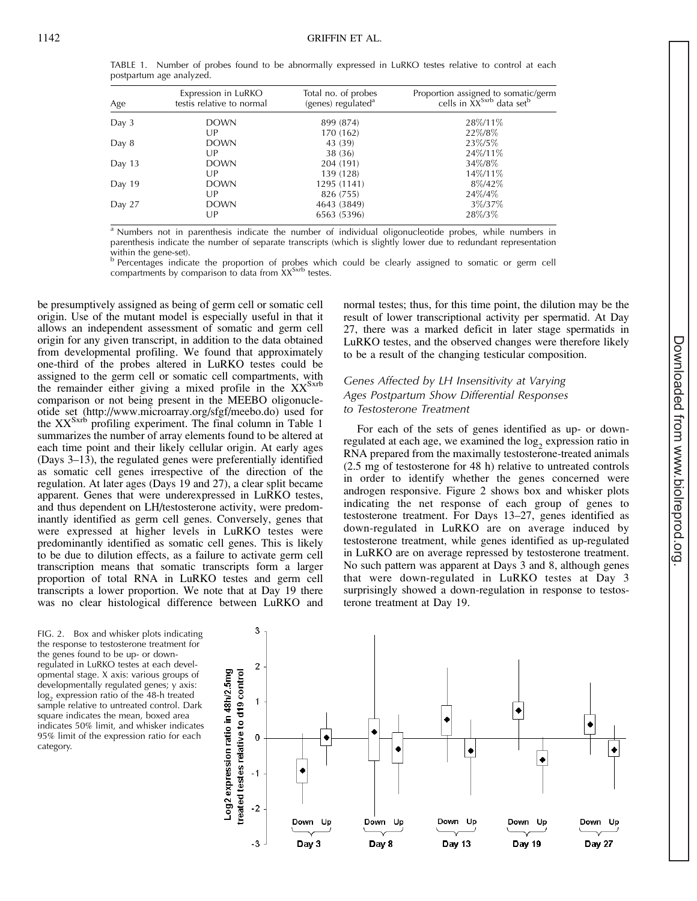TABLE 1. Number of probes found to be abnormally expressed in LuRKO testes relative to control at each postpartum age analyzed.

| Age    | Expression in LuRKO<br>testis relative to normal | Total no. of probes<br>(genes) regulated <sup>a</sup> | Proportion assigned to somatic/germ<br>cells in XX <sup>Sxrb</sup> data set <sup>b</sup> |
|--------|--------------------------------------------------|-------------------------------------------------------|------------------------------------------------------------------------------------------|
| Day 3  | <b>DOWN</b>                                      | 899 (874)                                             | 28\%/11\%                                                                                |
|        | UP                                               | 170 (162)                                             | 22\%/8\%                                                                                 |
| Day 8  | <b>DOWN</b>                                      | 43 (39)                                               | 23\%/5\%                                                                                 |
|        | UP                                               | 38 (36)                                               | 24\%/11\%                                                                                |
| Day 13 | <b>DOWN</b>                                      | 204 (191)                                             | 34\%/8\%                                                                                 |
|        | UP                                               | 139 (128)                                             | 14%/11%                                                                                  |
| Day 19 | <b>DOWN</b>                                      | 1295 (1141)                                           | 8\%/42\%                                                                                 |
|        | UP                                               | 826 (755)                                             | 24\%/4\%                                                                                 |
| Day 27 | <b>DOWN</b>                                      | 4643 (3849)                                           | 3\%/37\%                                                                                 |
|        | UP                                               | 6563 (5396)                                           | 28\%/3\%                                                                                 |

<sup>a</sup> Numbers not in parenthesis indicate the number of individual oligonucleotide probes, while numbers in parenthesis indicate the number of separate transcripts (which is slightly lower due to redundant representation

within the gene-set).<br><sup>b</sup> Percentages indicate the proportion of probes which could be clearly assigned to somatic or germ cell compartments by comparison to data from  $XX<sup>Sxrb</sup>$  testes.

be presumptively assigned as being of germ cell or somatic cell origin. Use of the mutant model is especially useful in that it allows an independent assessment of somatic and germ cell origin for any given transcript, in addition to the data obtained from developmental profiling. We found that approximately one-third of the probes altered in LuRKO testes could be assigned to the germ cell or somatic cell compartments, with the remainder either giving a mixed profile in the  $XX<sup>Sxrb</sup>$ comparison or not being present in the MEEBO oligonucleotide set (http://www.microarray.org/sfgf/meebo.do) used for the XX<sup>Sxrb</sup> profiling experiment. The final column in Table 1 summarizes the number of array elements found to be altered at each time point and their likely cellular origin. At early ages (Days 3–13), the regulated genes were preferentially identified as somatic cell genes irrespective of the direction of the regulation. At later ages (Days 19 and 27), a clear split became apparent. Genes that were underexpressed in LuRKO testes, and thus dependent on LH/testosterone activity, were predominantly identified as germ cell genes. Conversely, genes that were expressed at higher levels in LuRKO testes were predominantly identified as somatic cell genes. This is likely to be due to dilution effects, as a failure to activate germ cell transcription means that somatic transcripts form a larger proportion of total RNA in LuRKO testes and germ cell transcripts a lower proportion. We note that at Day 19 there was no clear histological difference between LuRKO and normal testes; thus, for this time point, the dilution may be the result of lower transcriptional activity per spermatid. At Day 27, there was a marked deficit in later stage spermatids in LuRKO testes, and the observed changes were therefore likely to be a result of the changing testicular composition.

#### Genes Affected by LH Insensitivity at Varying Ages Postpartum Show Differential Responses to Testosterone Treatment

For each of the sets of genes identified as up- or downregulated at each age, we examined the  $log<sub>2</sub>$  expression ratio in RNA prepared from the maximally testosterone-treated animals (2.5 mg of testosterone for 48 h) relative to untreated controls in order to identify whether the genes concerned were androgen responsive. Figure 2 shows box and whisker plots indicating the net response of each group of genes to testosterone treatment. For Days 13–27, genes identified as down-regulated in LuRKO are on average induced by testosterone treatment, while genes identified as up-regulated in LuRKO are on average repressed by testosterone treatment. No such pattern was apparent at Days 3 and 8, although genes that were down-regulated in LuRKO testes at Day 3 surprisingly showed a down-regulation in response to testosterone treatment at Day 19.

FIG. 2. Box and whisker plots indicating the response to testosterone treatment for the genes found to be up- or downregulated in LuRKO testes at each developmental stage. X axis: various groups of developmentally regulated genes; y axis:  $log<sub>2</sub>$  expression ratio of the 48-h treated sample relative to untreated control. Dark square indicates the mean, boxed area indicates 50% limit, and whisker indicates 95% limit of the expression ratio for each category.

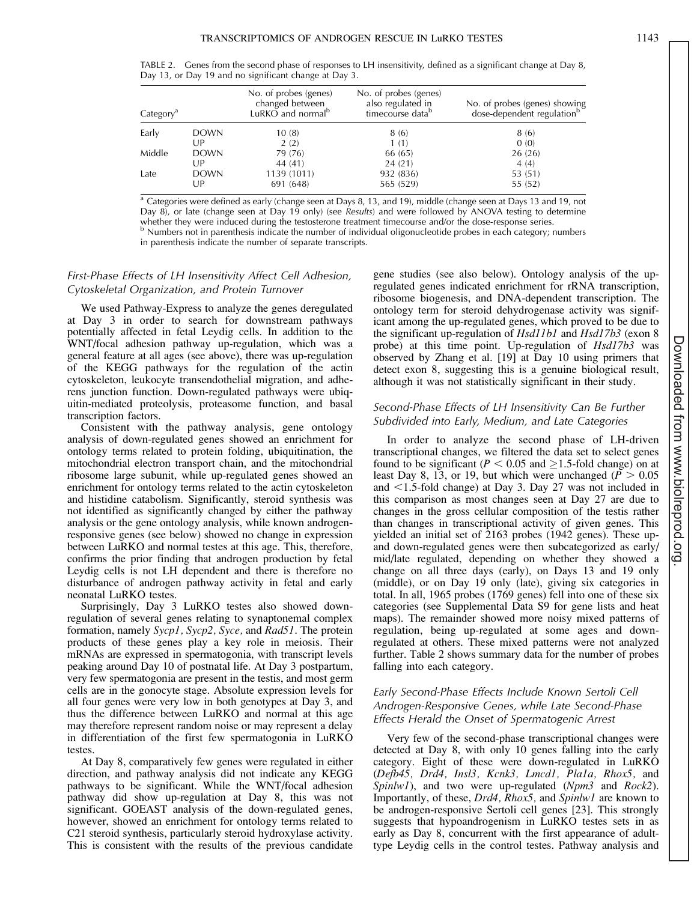TABLE 2. Genes from the second phase of responses to LH insensitivity, defined as a significant change at Day 8, Day 13, or Day 19 and no significant change at Day 3.

| Category <sup>a</sup> |             | No. of probes (genes)<br>changed between<br>LuRKO and normal $^{\rm b}$ | No. of probes (genes)<br>also regulated in<br>timecourse data <sup>b</sup> | No. of probes (genes) showing<br>dose-dependent regulation <sup>b</sup> |  |  |
|-----------------------|-------------|-------------------------------------------------------------------------|----------------------------------------------------------------------------|-------------------------------------------------------------------------|--|--|
| Early                 | <b>DOWN</b> | 10(8)                                                                   | 8 (6)                                                                      | 8 (6)                                                                   |  |  |
|                       | UP          | 2(2)                                                                    | 1(1)                                                                       | 0(0)                                                                    |  |  |
| Middle                | <b>DOWN</b> | 79 (76)                                                                 | 66 (65)                                                                    | 26(26)                                                                  |  |  |
|                       | UP          | 44 (41)                                                                 | 24(21)                                                                     | 4(4)                                                                    |  |  |
| Late                  | <b>DOWN</b> | 1139 (1011)                                                             | 932 (836)                                                                  | 53 (51)                                                                 |  |  |
|                       | UP          | 691 (648)                                                               | 565 (529)                                                                  | 55 (52)                                                                 |  |  |

<sup>a</sup> Categories were defined as early (change seen at Days 8, 13, and 19), middle (change seen at Days 13 and 19, not Day 8), or late (change seen at Day 19 only) (see Results) and were followed by ANOVA testing to determine whether they were induced during the testosterone treatment timecourse and/or the dose-response series.<br><sup>b</sup> Numbers not in parenthesis indicate the number of individual oligonucleotide probes in each category; numbers in parenthesis indicate the number of separate transcripts.

#### First-Phase Effects of LH Insensitivity Affect Cell Adhesion, Cytoskeletal Organization, and Protein Turnover

We used Pathway-Express to analyze the genes deregulated at Day 3 in order to search for downstream pathways potentially affected in fetal Leydig cells. In addition to the WNT/focal adhesion pathway up-regulation, which was a general feature at all ages (see above), there was up-regulation of the KEGG pathways for the regulation of the actin cytoskeleton, leukocyte transendothelial migration, and adherens junction function. Down-regulated pathways were ubiquitin-mediated proteolysis, proteasome function, and basal transcription factors.

Consistent with the pathway analysis, gene ontology analysis of down-regulated genes showed an enrichment for ontology terms related to protein folding, ubiquitination, the mitochondrial electron transport chain, and the mitochondrial ribosome large subunit, while up-regulated genes showed an enrichment for ontology terms related to the actin cytoskeleton and histidine catabolism. Significantly, steroid synthesis was not identified as significantly changed by either the pathway analysis or the gene ontology analysis, while known androgenresponsive genes (see below) showed no change in expression between LuRKO and normal testes at this age. This, therefore, confirms the prior finding that androgen production by fetal Leydig cells is not LH dependent and there is therefore no disturbance of androgen pathway activity in fetal and early neonatal LuRKO testes.

Surprisingly, Day 3 LuRKO testes also showed downregulation of several genes relating to synaptonemal complex formation, namely Sycp1, Sycp2, Syce, and Rad51. The protein products of these genes play a key role in meiosis. Their mRNAs are expressed in spermatogonia, with transcript levels peaking around Day 10 of postnatal life. At Day 3 postpartum, very few spermatogonia are present in the testis, and most germ cells are in the gonocyte stage. Absolute expression levels for all four genes were very low in both genotypes at Day 3, and thus the difference between LuRKO and normal at this age may therefore represent random noise or may represent a delay in differentiation of the first few spermatogonia in LuRKO testes.

At Day 8, comparatively few genes were regulated in either direction, and pathway analysis did not indicate any KEGG pathways to be significant. While the WNT/focal adhesion pathway did show up-regulation at Day 8, this was not significant. GOEAST analysis of the down-regulated genes, however, showed an enrichment for ontology terms related to C21 steroid synthesis, particularly steroid hydroxylase activity. This is consistent with the results of the previous candidate gene studies (see also below). Ontology analysis of the upregulated genes indicated enrichment for rRNA transcription, ribosome biogenesis, and DNA-dependent transcription. The ontology term for steroid dehydrogenase activity was significant among the up-regulated genes, which proved to be due to the significant up-regulation of Hsd11b1 and Hsd17b3 (exon 8 probe) at this time point. Up-regulation of Hsd17b3 was observed by Zhang et al. [19] at Day 10 using primers that detect exon 8, suggesting this is a genuine biological result, although it was not statistically significant in their study.

#### Second-Phase Effects of LH Insensitivity Can Be Further Subdivided into Early, Medium, and Late Categories

In order to analyze the second phase of LH-driven transcriptional changes, we filtered the data set to select genes found to be significant ( $P < 0.05$  and  $\geq 1.5$ -fold change) on at least Day 8, 13, or 19, but which were unchanged ( $P > 0.05$ ) and  $\leq$ 1.5-fold change) at Day 3. Day 27 was not included in this comparison as most changes seen at Day 27 are due to changes in the gross cellular composition of the testis rather than changes in transcriptional activity of given genes. This yielded an initial set of 2163 probes (1942 genes). These upand down-regulated genes were then subcategorized as early/ mid/late regulated, depending on whether they showed a change on all three days (early), on Days 13 and 19 only (middle), or on Day 19 only (late), giving six categories in total. In all, 1965 probes (1769 genes) fell into one of these six categories (see Supplemental Data S9 for gene lists and heat maps). The remainder showed more noisy mixed patterns of regulation, being up-regulated at some ages and downregulated at others. These mixed patterns were not analyzed further. Table 2 shows summary data for the number of probes falling into each category.

#### Early Second-Phase Effects Include Known Sertoli Cell Androgen-Responsive Genes, while Late Second-Phase Effects Herald the Onset of Spermatogenic Arrest

Very few of the second-phase transcriptional changes were detected at Day 8, with only 10 genes falling into the early category. Eight of these were down-regulated in LuRKO (Defb45, Drd4, Insl3, Kcnk3, Lmcd1, Pla1a, Rhox5, and Spinlw1), and two were up-regulated (Npm3 and Rock2). Importantly, of these, Drd4, Rhox5, and Spinlw1 are known to be androgen-responsive Sertoli cell genes [23]. This strongly suggests that hypoandrogenism in LuRKO testes sets in as early as Day 8, concurrent with the first appearance of adulttype Leydig cells in the control testes. Pathway analysis and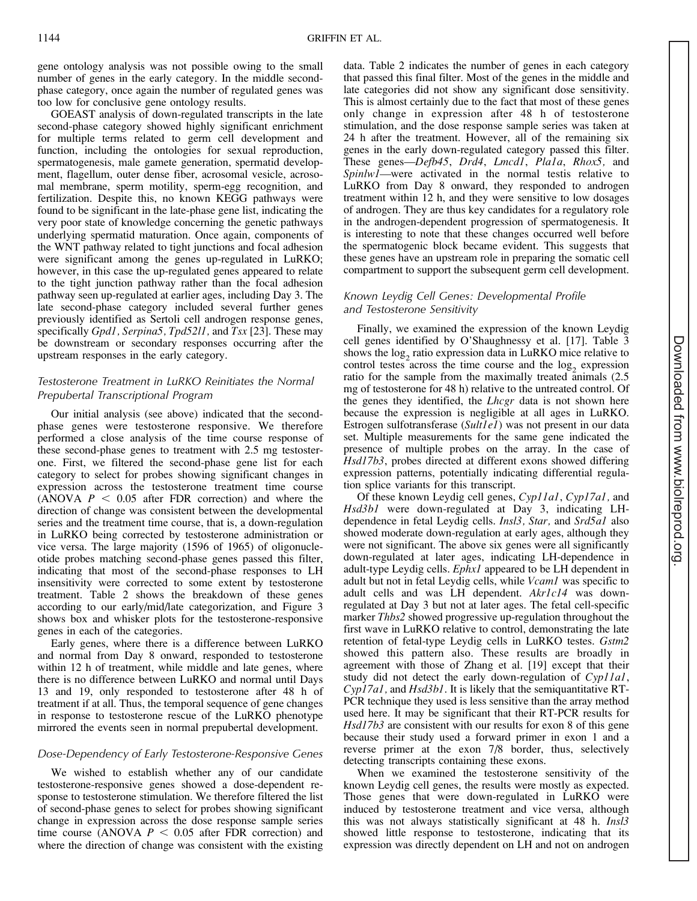gene ontology analysis was not possible owing to the small number of genes in the early category. In the middle secondphase category, once again the number of regulated genes was too low for conclusive gene ontology results.

GOEAST analysis of down-regulated transcripts in the late second-phase category showed highly significant enrichment for multiple terms related to germ cell development and function, including the ontologies for sexual reproduction, spermatogenesis, male gamete generation, spermatid development, flagellum, outer dense fiber, acrosomal vesicle, acrosomal membrane, sperm motility, sperm-egg recognition, and fertilization. Despite this, no known KEGG pathways were found to be significant in the late-phase gene list, indicating the very poor state of knowledge concerning the genetic pathways underlying spermatid maturation. Once again, components of the WNT pathway related to tight junctions and focal adhesion were significant among the genes up-regulated in LuRKO; however, in this case the up-regulated genes appeared to relate to the tight junction pathway rather than the focal adhesion pathway seen up-regulated at earlier ages, including Day 3. The late second-phase category included several further genes previously identified as Sertoli cell androgen response genes, specifically Gpd1, Serpina5, Tpd5211, and Tsx [23]. These may be downstream or secondary responses occurring after the upstream responses in the early category.

#### Testosterone Treatment in LuRKO Reinitiates the Normal Prepubertal Transcriptional Program

Our initial analysis (see above) indicated that the secondphase genes were testosterone responsive. We therefore performed a close analysis of the time course response of these second-phase genes to treatment with 2.5 mg testosterone. First, we filtered the second-phase gene list for each category to select for probes showing significant changes in expression across the testosterone treatment time course (ANOVA  $P < 0.05$  after FDR correction) and where the direction of change was consistent between the developmental series and the treatment time course, that is, a down-regulation in LuRKO being corrected by testosterone administration or vice versa. The large majority (1596 of 1965) of oligonucleotide probes matching second-phase genes passed this filter, indicating that most of the second-phase responses to LH insensitivity were corrected to some extent by testosterone treatment. Table 2 shows the breakdown of these genes according to our early/mid/late categorization, and Figure 3 shows box and whisker plots for the testosterone-responsive genes in each of the categories.

Early genes, where there is a difference between LuRKO and normal from Day 8 onward, responded to testosterone within 12 h of treatment, while middle and late genes, where there is no difference between LuRKO and normal until Days 13 and 19, only responded to testosterone after 48 h of treatment if at all. Thus, the temporal sequence of gene changes in response to testosterone rescue of the LuRKO phenotype mirrored the events seen in normal prepubertal development.

#### Dose-Dependency of Early Testosterone-Responsive Genes

We wished to establish whether any of our candidate testosterone-responsive genes showed a dose-dependent response to testosterone stimulation. We therefore filtered the list of second-phase genes to select for probes showing significant change in expression across the dose response sample series time course (ANOVA  $P < 0.05$  after FDR correction) and where the direction of change was consistent with the existing data. Table 2 indicates the number of genes in each category that passed this final filter. Most of the genes in the middle and late categories did not show any significant dose sensitivity. This is almost certainly due to the fact that most of these genes only change in expression after 48 h of testosterone stimulation, and the dose response sample series was taken at 24 h after the treatment. However, all of the remaining six genes in the early down-regulated category passed this filter. These genes—Defb45, Drd4, Lmcd1, Pla1a, Rhox5, and Spinlw1—were activated in the normal testis relative to LuRKO from Day 8 onward, they responded to androgen treatment within 12 h, and they were sensitive to low dosages of androgen. They are thus key candidates for a regulatory role in the androgen-dependent progression of spermatogenesis. It is interesting to note that these changes occurred well before the spermatogenic block became evident. This suggests that these genes have an upstream role in preparing the somatic cell compartment to support the subsequent germ cell development.

#### Known Leydig Cell Genes: Developmental Profile and Testosterone Sensitivity

Finally, we examined the expression of the known Leydig cell genes identified by O'Shaughnessy et al. [17]. Table 3 shows the  $log_2$  ratio expression data in LuRKO mice relative to control testes across the time course and the  $log_2$  expression ratio for the sample from the maximally treated animals (2.5 mg of testosterone for 48 h) relative to the untreated control. Of the genes they identified, the *Lhcgr* data is not shown here because the expression is negligible at all ages in LuRKO. Estrogen sulfotransferase (Sult1e1) was not present in our data set. Multiple measurements for the same gene indicated the presence of multiple probes on the array. In the case of Hsd17b3, probes directed at different exons showed differing expression patterns, potentially indicating differential regulation splice variants for this transcript.

Of these known Leydig cell genes, Cyp11a1, Cyp17a1, and Hsd3b1 were down-regulated at Day 3, indicating LHdependence in fetal Leydig cells. Insl3, Star, and Srd5a1 also showed moderate down-regulation at early ages, although they were not significant. The above six genes were all significantly down-regulated at later ages, indicating LH-dependence in adult-type Leydig cells. Ephx1 appeared to be LH dependent in adult but not in fetal Leydig cells, while Vcam1 was specific to adult cells and was LH dependent. Akr1c14 was downregulated at Day 3 but not at later ages. The fetal cell-specific marker Thbs2 showed progressive up-regulation throughout the first wave in LuRKO relative to control, demonstrating the late retention of fetal-type Leydig cells in LuRKO testes. Gstm2 showed this pattern also. These results are broadly in agreement with those of Zhang et al. [19] except that their study did not detect the early down-regulation of Cyp11a1, Cyp17a1, and Hsd3b1. It is likely that the semiquantitative RT-PCR technique they used is less sensitive than the array method used here. It may be significant that their RT-PCR results for Hsd17b3 are consistent with our results for exon 8 of this gene because their study used a forward primer in exon 1 and a reverse primer at the exon 7/8 border, thus, selectively detecting transcripts containing these exons.

When we examined the testosterone sensitivity of the known Leydig cell genes, the results were mostly as expected. Those genes that were down-regulated in LuRKO were induced by testosterone treatment and vice versa, although this was not always statistically significant at 48 h. Insl3 showed little response to testosterone, indicating that its expression was directly dependent on LH and not on androgen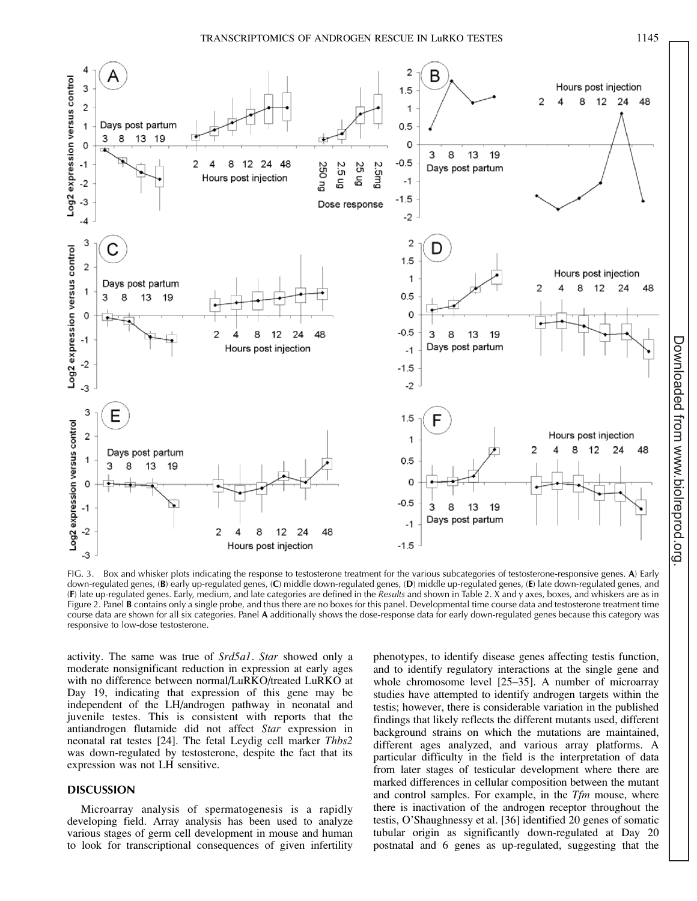

FIG. 3. Box and whisker plots indicating the response to testosterone treatment for the various subcategories of testosterone-responsive genes. A) Early down-regulated genes, (B) early up-regulated genes, (C) middle down-regulated genes, (D) middle up-regulated genes, (E) late down-regulated genes, and (F) late up-regulated genes. Early, medium, and late categories are defined in the Results and shown in Table 2. X and y axes, boxes, and whiskers are as in Figure 2. Panel B contains only a single probe, and thus there are no boxes for this panel. Developmental time course data and testosterone treatment time course data are shown for all six categories. Panel A additionally shows the dose-response data for early down-regulated genes because this category was responsive to low-dose testosterone.

activity. The same was true of Srd5a1. Star showed only a moderate nonsignificant reduction in expression at early ages with no difference between normal/LuRKO/treated LuRKO at Day 19, indicating that expression of this gene may be independent of the LH/androgen pathway in neonatal and juvenile testes. This is consistent with reports that the antiandrogen flutamide did not affect Star expression in neonatal rat testes [24]. The fetal Leydig cell marker Thbs2 was down-regulated by testosterone, despite the fact that its expression was not LH sensitive.

#### DISCUSSION

Microarray analysis of spermatogenesis is a rapidly developing field. Array analysis has been used to analyze various stages of germ cell development in mouse and human to look for transcriptional consequences of given infertility

phenotypes, to identify disease genes affecting testis function, and to identify regulatory interactions at the single gene and whole chromosome level [25–35]. A number of microarray studies have attempted to identify androgen targets within the testis; however, there is considerable variation in the published findings that likely reflects the different mutants used, different background strains on which the mutations are maintained, different ages analyzed, and various array platforms. A particular difficulty in the field is the interpretation of data from later stages of testicular development where there are marked differences in cellular composition between the mutant and control samples. For example, in the  $Tf$ m mouse, where there is inactivation of the androgen receptor throughout the testis, O'Shaughnessy et al. [36] identified 20 genes of somatic tubular origin as significantly down-regulated at Day 20 postnatal and 6 genes as up-regulated, suggesting that the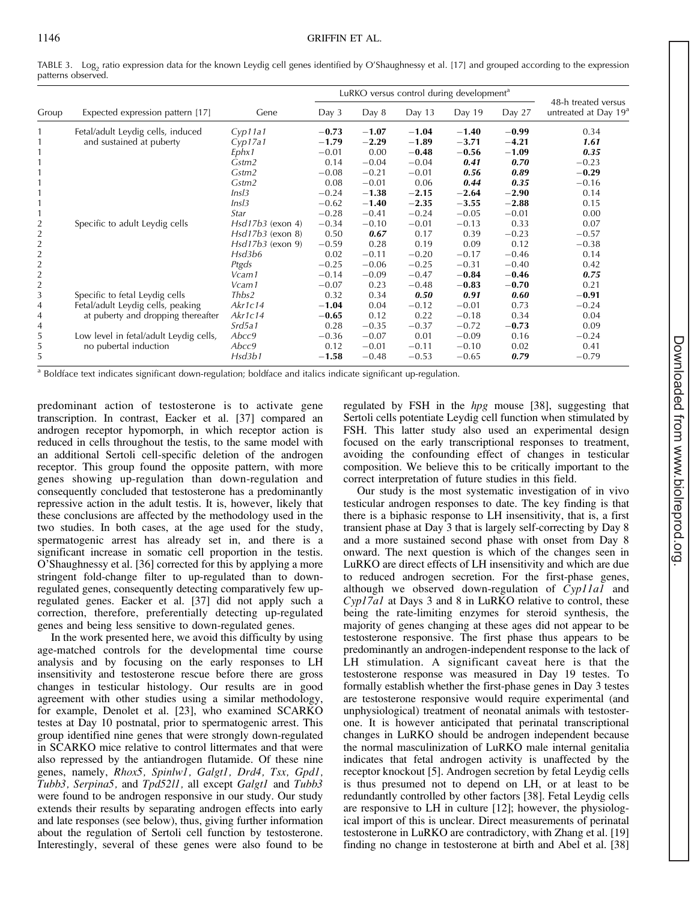TABLE 3. Log<sub>2</sub> ratio expression data for the known Leydig cell genes identified by O'Shaughnessy et al. [17] and grouped according to the expression patterns observed.

|                | Expected expression pattern [17]       |                   | LuRKO versus control during development <sup>a</sup> |         |         |          |         |                                                         |
|----------------|----------------------------------------|-------------------|------------------------------------------------------|---------|---------|----------|---------|---------------------------------------------------------|
| Group          |                                        | Gene              | Day 3                                                | Day 8   | Day 13  | Day $19$ | Day 27  | 48-h treated versus<br>untreated at Day 19 <sup>a</sup> |
|                | Fetal/adult Leydig cells, induced      | Cyp11a1           | $-0.73$                                              | $-1.07$ | $-1.04$ | $-1.40$  | $-0.99$ | 0.34                                                    |
|                | and sustained at puberty               | Cyp17a1           | $-1.79$                                              | $-2.29$ | $-1.89$ | $-3.71$  | $-4.21$ | 1.61                                                    |
|                |                                        | Ephx1             | $-0.01$                                              | 0.00    | $-0.48$ | $-0.56$  | $-1.09$ | 0.35                                                    |
|                |                                        | Cstm2             | 0.14                                                 | $-0.04$ | $-0.04$ | 0.41     | 0.70    | $-0.23$                                                 |
|                |                                        | Gstm2             | $-0.08$                                              | $-0.21$ | $-0.01$ | 0.56     | 0.89    | $-0.29$                                                 |
|                |                                        | Gstm2             | 0.08                                                 | $-0.01$ | 0.06    | 0.44     | 0.35    | $-0.16$                                                 |
|                |                                        | Ins <sub>13</sub> | $-0.24$                                              | $-1.38$ | $-2.15$ | $-2.64$  | $-2.90$ | 0.14                                                    |
|                |                                        | Ins13             | $-0.62$                                              | $-1.40$ | $-2.35$ | $-3.55$  | $-2.88$ | 0.15                                                    |
|                |                                        | Star              | $-0.28$                                              | $-0.41$ | $-0.24$ | $-0.05$  | $-0.01$ | 0.00                                                    |
| 2              | Specific to adult Leydig cells         | Hsd17b3 (exon 4)  | $-0.34$                                              | $-0.10$ | $-0.01$ | $-0.13$  | 0.33    | 0.07                                                    |
| 2              |                                        | Hsd17b3 (exon 8)  | 0.50                                                 | 0.67    | 0.17    | 0.39     | $-0.23$ | $-0.57$                                                 |
| 2              |                                        | Hsd17b3 (exon 9)  | $-0.59$                                              | 0.28    | 0.19    | 0.09     | 0.12    | $-0.38$                                                 |
| $\overline{2}$ |                                        | Hsd3b6            | 0.02                                                 | $-0.11$ | $-0.20$ | $-0.17$  | $-0.46$ | 0.14                                                    |
| 2              |                                        | Ptgds             | $-0.25$                                              | $-0.06$ | $-0.25$ | $-0.31$  | $-0.40$ | 0.42                                                    |
| $\overline{2}$ |                                        | Vcam1             | $-0.14$                                              | $-0.09$ | $-0.47$ | $-0.84$  | $-0.46$ | 0.75                                                    |
| 2              |                                        | Vcam1             | $-0.07$                                              | 0.23    | $-0.48$ | $-0.83$  | $-0.70$ | 0.21                                                    |
| 3              | Specific to fetal Leydig cells         | Thbs2             | 0.32                                                 | 0.34    | 0.50    | 0.91     | 0.60    | $-0.91$                                                 |
| 4              | Fetal/adult Leydig cells, peaking      | Akr1c14           | $-1.04$                                              | 0.04    | $-0.12$ | $-0.01$  | 0.73    | $-0.24$                                                 |
| 4              | at puberty and dropping thereafter     | Akr1c14           | $-0.65$                                              | 0.12    | 0.22    | $-0.18$  | 0.34    | 0.04                                                    |
| 4              |                                        | Srd5a1            | 0.28                                                 | $-0.35$ | $-0.37$ | $-0.72$  | $-0.73$ | 0.09                                                    |
| 5              | Low level in fetal/adult Leydig cells, | Abcc9             | $-0.36$                                              | $-0.07$ | 0.01    | $-0.09$  | 0.16    | $-0.24$                                                 |
| 5              | no pubertal induction                  | Abcc9             | 0.12                                                 | $-0.01$ | $-0.11$ | $-0.10$  | 0.02    | 0.41                                                    |
| 5              |                                        | Hsd3b1            | $-1.58$                                              | $-0.48$ | $-0.53$ | $-0.65$  | 0.79    | $-0.79$                                                 |

<sup>a</sup> Boldface text indicates significant down-regulation; boldface and italics indicate significant up-regulation.

predominant action of testosterone is to activate gene transcription. In contrast, Eacker et al. [37] compared an androgen receptor hypomorph, in which receptor action is reduced in cells throughout the testis, to the same model with an additional Sertoli cell-specific deletion of the androgen receptor. This group found the opposite pattern, with more genes showing up-regulation than down-regulation and consequently concluded that testosterone has a predominantly repressive action in the adult testis. It is, however, likely that these conclusions are affected by the methodology used in the two studies. In both cases, at the age used for the study, spermatogenic arrest has already set in, and there is a significant increase in somatic cell proportion in the testis. O'Shaughnessy et al. [36] corrected for this by applying a more stringent fold-change filter to up-regulated than to downregulated genes, consequently detecting comparatively few upregulated genes. Eacker et al. [37] did not apply such a correction, therefore, preferentially detecting up-regulated genes and being less sensitive to down-regulated genes.

In the work presented here, we avoid this difficulty by using age-matched controls for the developmental time course analysis and by focusing on the early responses to LH insensitivity and testosterone rescue before there are gross changes in testicular histology. Our results are in good agreement with other studies using a similar methodology, for example, Denolet et al. [23], who examined SCARKO testes at Day 10 postnatal, prior to spermatogenic arrest. This group identified nine genes that were strongly down-regulated in SCARKO mice relative to control littermates and that were also repressed by the antiandrogen flutamide. Of these nine genes, namely, Rhox5, Spinlw1, Galgt1, Drd4, Tsx, Gpd1, Tubb3, Serpina5, and Tpd52l1, all except Galgt1 and Tubb3 were found to be androgen responsive in our study. Our study extends their results by separating androgen effects into early and late responses (see below), thus, giving further information about the regulation of Sertoli cell function by testosterone. Interestingly, several of these genes were also found to be regulated by FSH in the hpg mouse [38], suggesting that Sertoli cells potentiate Leydig cell function when stimulated by FSH. This latter study also used an experimental design focused on the early transcriptional responses to treatment, avoiding the confounding effect of changes in testicular composition. We believe this to be critically important to the correct interpretation of future studies in this field.

Our study is the most systematic investigation of in vivo testicular androgen responses to date. The key finding is that there is a biphasic response to LH insensitivity, that is, a first transient phase at Day 3 that is largely self-correcting by Day 8 and a more sustained second phase with onset from Day 8 onward. The next question is which of the changes seen in LuRKO are direct effects of LH insensitivity and which are due to reduced androgen secretion. For the first-phase genes, although we observed down-regulation of Cyp11a1 and Cyp17a1 at Days 3 and 8 in LuRKO relative to control, these being the rate-limiting enzymes for steroid synthesis, the majority of genes changing at these ages did not appear to be testosterone responsive. The first phase thus appears to be predominantly an androgen-independent response to the lack of LH stimulation. A significant caveat here is that the testosterone response was measured in Day 19 testes. To formally establish whether the first-phase genes in Day 3 testes are testosterone responsive would require experimental (and unphysiological) treatment of neonatal animals with testosterone. It is however anticipated that perinatal transcriptional changes in LuRKO should be androgen independent because the normal masculinization of LuRKO male internal genitalia indicates that fetal androgen activity is unaffected by the receptor knockout [5]. Androgen secretion by fetal Leydig cells is thus presumed not to depend on LH, or at least to be redundantly controlled by other factors [38]. Fetal Leydig cells are responsive to LH in culture [12]; however, the physiological import of this is unclear. Direct measurements of perinatal testosterone in LuRKO are contradictory, with Zhang et al. [19] finding no change in testosterone at birth and Abel et al. [38]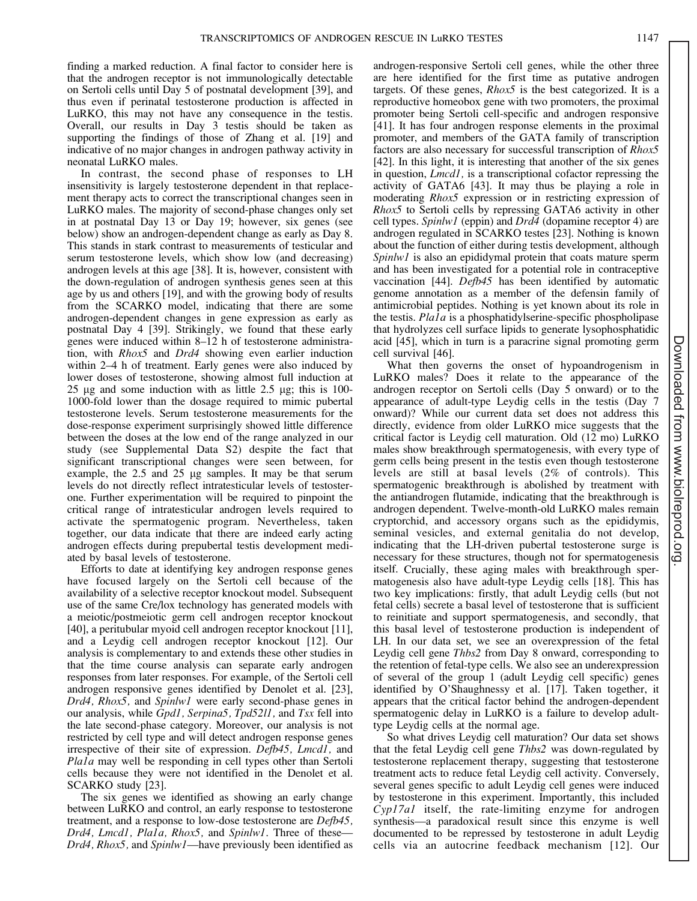finding a marked reduction. A final factor to consider here is that the androgen receptor is not immunologically detectable on Sertoli cells until Day 5 of postnatal development [39], and thus even if perinatal testosterone production is affected in LuRKO, this may not have any consequence in the testis. Overall, our results in Day 3 testis should be taken as supporting the findings of those of Zhang et al. [19] and indicative of no major changes in androgen pathway activity in neonatal LuRKO males.

In contrast, the second phase of responses to LH insensitivity is largely testosterone dependent in that replacement therapy acts to correct the transcriptional changes seen in LuRKO males. The majority of second-phase changes only set in at postnatal Day 13 or Day 19; however, six genes (see below) show an androgen-dependent change as early as Day 8. This stands in stark contrast to measurements of testicular and serum testosterone levels, which show low (and decreasing) androgen levels at this age [38]. It is, however, consistent with the down-regulation of androgen synthesis genes seen at this age by us and others [19], and with the growing body of results from the SCARKO model, indicating that there are some androgen-dependent changes in gene expression as early as postnatal Day 4 [39]. Strikingly, we found that these early genes were induced within 8–12 h of testosterone administration, with Rhox5 and Drd4 showing even earlier induction within 2–4 h of treatment. Early genes were also induced by lower doses of testosterone, showing almost full induction at 25  $\mu$ g and some induction with as little 2.5  $\mu$ g; this is 100-1000-fold lower than the dosage required to mimic pubertal testosterone levels. Serum testosterone measurements for the dose-response experiment surprisingly showed little difference between the doses at the low end of the range analyzed in our study (see Supplemental Data S2) despite the fact that significant transcriptional changes were seen between, for example, the  $2.5$  and  $25 \mu$ g samples. It may be that serum levels do not directly reflect intratesticular levels of testosterone. Further experimentation will be required to pinpoint the critical range of intratesticular androgen levels required to activate the spermatogenic program. Nevertheless, taken together, our data indicate that there are indeed early acting androgen effects during prepubertal testis development mediated by basal levels of testosterone.

Efforts to date at identifying key androgen response genes have focused largely on the Sertoli cell because of the availability of a selective receptor knockout model. Subsequent use of the same Cre/lox technology has generated models with a meiotic/postmeiotic germ cell androgen receptor knockout [40], a peritubular myoid cell androgen receptor knockout [11], and a Leydig cell androgen receptor knockout [12]. Our analysis is complementary to and extends these other studies in that the time course analysis can separate early androgen responses from later responses. For example, of the Sertoli cell androgen responsive genes identified by Denolet et al. [23], Drd4, Rhox5, and Spinlw1 were early second-phase genes in our analysis, while Gpd1, Serpina5, Tpd5211, and Tsx fell into the late second-phase category. Moreover, our analysis is not restricted by cell type and will detect androgen response genes irrespective of their site of expression. Defb45, Lmcd1, and Pla1a may well be responding in cell types other than Sertoli cells because they were not identified in the Denolet et al. SCARKO study [23].

The six genes we identified as showing an early change between LuRKO and control, an early response to testosterone treatment, and a response to low-dose testosterone are Defb45, Drd4, Lmcd1, Pla1a, Rhox5, and Spinlw1. Three of these— Drd4, Rhox5, and Spinlw1—have previously been identified as androgen-responsive Sertoli cell genes, while the other three are here identified for the first time as putative androgen targets. Of these genes, Rhox5 is the best categorized. It is a reproductive homeobox gene with two promoters, the proximal promoter being Sertoli cell-specific and androgen responsive [41]. It has four androgen response elements in the proximal promoter, and members of the GATA family of transcription factors are also necessary for successful transcription of  $Rhox5$ [42]. In this light, it is interesting that another of the six genes in question, Lmcd1, is a transcriptional cofactor repressing the activity of GATA6 [43]. It may thus be playing a role in moderating *Rhox5* expression or in restricting expression of Rhox5 to Sertoli cells by repressing GATA6 activity in other cell types. Spinlw1 (eppin) and Drd4 (dopamine receptor 4) are androgen regulated in SCARKO testes [23]. Nothing is known about the function of either during testis development, although Spinlw1 is also an epididymal protein that coats mature sperm and has been investigated for a potential role in contraceptive vaccination [44]. Defb45 has been identified by automatic genome annotation as a member of the defensin family of antimicrobial peptides. Nothing is yet known about its role in the testis. Pla1a is a phosphatidylserine-specific phospholipase that hydrolyzes cell surface lipids to generate lysophosphatidic acid [45], which in turn is a paracrine signal promoting germ cell survival [46].

What then governs the onset of hypoandrogenism in LuRKO males? Does it relate to the appearance of the androgen receptor on Sertoli cells (Day 5 onward) or to the appearance of adult-type Leydig cells in the testis (Day 7 onward)? While our current data set does not address this directly, evidence from older LuRKO mice suggests that the critical factor is Leydig cell maturation. Old (12 mo) LuRKO males show breakthrough spermatogenesis, with every type of germ cells being present in the testis even though testosterone levels are still at basal levels (2% of controls). This spermatogenic breakthrough is abolished by treatment with the antiandrogen flutamide, indicating that the breakthrough is androgen dependent. Twelve-month-old LuRKO males remain cryptorchid, and accessory organs such as the epididymis, seminal vesicles, and external genitalia do not develop, indicating that the LH-driven pubertal testosterone surge is necessary for these structures, though not for spermatogenesis itself. Crucially, these aging males with breakthrough spermatogenesis also have adult-type Leydig cells [18]. This has two key implications: firstly, that adult Leydig cells (but not fetal cells) secrete a basal level of testosterone that is sufficient to reinitiate and support spermatogenesis, and secondly, that this basal level of testosterone production is independent of LH. In our data set, we see an overexpression of the fetal Leydig cell gene Thbs2 from Day 8 onward, corresponding to the retention of fetal-type cells. We also see an underexpression of several of the group 1 (adult Leydig cell specific) genes identified by O'Shaughnessy et al. [17]. Taken together, it appears that the critical factor behind the androgen-dependent spermatogenic delay in LuRKO is a failure to develop adulttype Leydig cells at the normal age.

So what drives Leydig cell maturation? Our data set shows that the fetal Leydig cell gene Thbs2 was down-regulated by testosterone replacement therapy, suggesting that testosterone treatment acts to reduce fetal Leydig cell activity. Conversely, several genes specific to adult Leydig cell genes were induced by testosterone in this experiment. Importantly, this included Cyp17a1 itself, the rate-limiting enzyme for androgen synthesis—a paradoxical result since this enzyme is well documented to be repressed by testosterone in adult Leydig cells via an autocrine feedback mechanism [12]. Our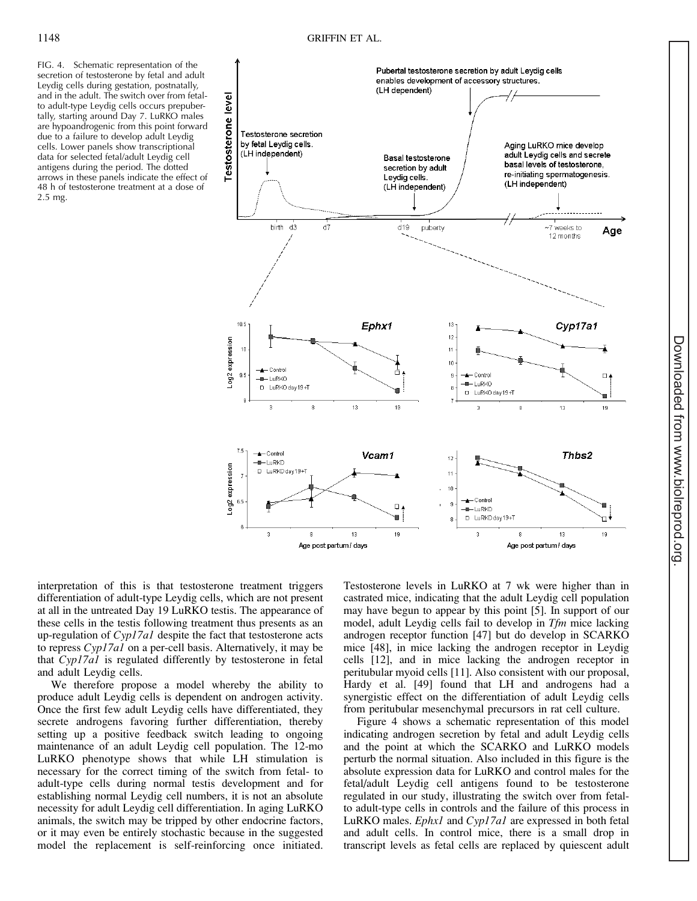FIG. 4. Schematic representation of the secretion of testosterone by fetal and adult Leydig cells during gestation, postnatally, and in the adult. The switch over from fetalto adult-type Leydig cells occurs prepubertally, starting around Day 7. LuRKO males are hypoandrogenic from this point forward due to a failure to develop adult Leydig cells. Lower panels show transcriptional data for selected fetal/adult Leydig cell antigens during the period. The dotted arrows in these panels indicate the effect of 48 h of testosterone treatment at a dose of 2.5 mg.



interpretation of this is that testosterone treatment triggers differentiation of adult-type Leydig cells, which are not present at all in the untreated Day 19 LuRKO testis. The appearance of these cells in the testis following treatment thus presents as an up-regulation of  $CypI7aI$  despite the fact that testosterone acts to repress Cyp17a1 on a per-cell basis. Alternatively, it may be that Cyp17a1 is regulated differently by testosterone in fetal and adult Leydig cells.

We therefore propose a model whereby the ability to produce adult Leydig cells is dependent on androgen activity. Once the first few adult Leydig cells have differentiated, they secrete androgens favoring further differentiation, thereby setting up a positive feedback switch leading to ongoing maintenance of an adult Leydig cell population. The 12-mo LuRKO phenotype shows that while LH stimulation is necessary for the correct timing of the switch from fetal- to adult-type cells during normal testis development and for establishing normal Leydig cell numbers, it is not an absolute necessity for adult Leydig cell differentiation. In aging LuRKO animals, the switch may be tripped by other endocrine factors, or it may even be entirely stochastic because in the suggested model the replacement is self-reinforcing once initiated. Testosterone levels in LuRKO at 7 wk were higher than in castrated mice, indicating that the adult Leydig cell population may have begun to appear by this point [5]. In support of our model, adult Leydig cells fail to develop in Tfm mice lacking androgen receptor function [47] but do develop in SCARKO mice [48], in mice lacking the androgen receptor in Leydig cells [12], and in mice lacking the androgen receptor in peritubular myoid cells [11]. Also consistent with our proposal, Hardy et al. [49] found that LH and androgens had a synergistic effect on the differentiation of adult Leydig cells from peritubular mesenchymal precursors in rat cell culture.

Figure 4 shows a schematic representation of this model indicating androgen secretion by fetal and adult Leydig cells and the point at which the SCARKO and LuRKO models perturb the normal situation. Also included in this figure is the absolute expression data for LuRKO and control males for the fetal/adult Leydig cell antigens found to be testosterone regulated in our study, illustrating the switch over from fetalto adult-type cells in controls and the failure of this process in LuRKO males. Ephx1 and Cyp17a1 are expressed in both fetal and adult cells. In control mice, there is a small drop in transcript levels as fetal cells are replaced by quiescent adult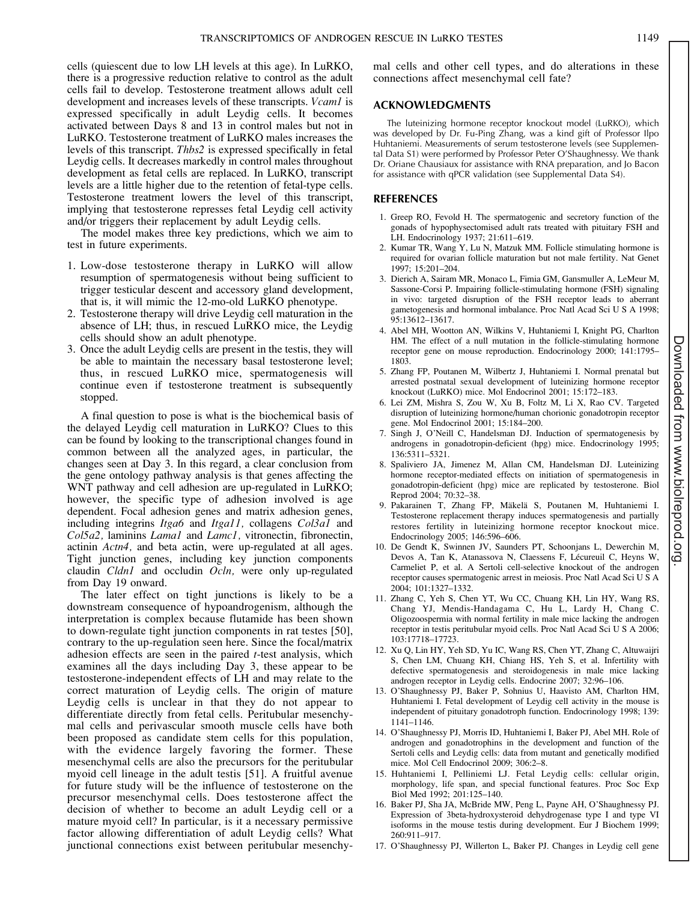cells (quiescent due to low LH levels at this age). In LuRKO, there is a progressive reduction relative to control as the adult cells fail to develop. Testosterone treatment allows adult cell development and increases levels of these transcripts. *Vcaml* is expressed specifically in adult Leydig cells. It becomes activated between Days 8 and 13 in control males but not in LuRKO. Testosterone treatment of LuRKO males increases the levels of this transcript. Thbs2 is expressed specifically in fetal Leydig cells. It decreases markedly in control males throughout development as fetal cells are replaced. In LuRKO, transcript levels are a little higher due to the retention of fetal-type cells. Testosterone treatment lowers the level of this transcript, implying that testosterone represses fetal Leydig cell activity and/or triggers their replacement by adult Leydig cells.

The model makes three key predictions, which we aim to test in future experiments.

- 1. Low-dose testosterone therapy in LuRKO will allow resumption of spermatogenesis without being sufficient to trigger testicular descent and accessory gland development, that is, it will mimic the 12-mo-old LuRKO phenotype.
- 2. Testosterone therapy will drive Leydig cell maturation in the absence of LH; thus, in rescued LuRKO mice, the Leydig cells should show an adult phenotype.
- 3. Once the adult Leydig cells are present in the testis, they will be able to maintain the necessary basal testosterone level; thus, in rescued LuRKO mice, spermatogenesis will continue even if testosterone treatment is subsequently stopped.

A final question to pose is what is the biochemical basis of the delayed Leydig cell maturation in LuRKO? Clues to this can be found by looking to the transcriptional changes found in common between all the analyzed ages, in particular, the changes seen at Day 3. In this regard, a clear conclusion from the gene ontology pathway analysis is that genes affecting the WNT pathway and cell adhesion are up-regulated in LuRKO; however, the specific type of adhesion involved is age dependent. Focal adhesion genes and matrix adhesion genes, including integrins Itga6 and Itga11, collagens Col3a1 and Col5a2, laminins Lama1 and Lamc1, vitronectin, fibronectin, actinin Actn4, and beta actin, were up-regulated at all ages. Tight junction genes, including key junction components claudin Cldn1 and occludin Ocln, were only up-regulated from Day 19 onward.

The later effect on tight junctions is likely to be a downstream consequence of hypoandrogenism, although the interpretation is complex because flutamide has been shown to down-regulate tight junction components in rat testes [50], contrary to the up-regulation seen here. Since the focal/matrix adhesion effects are seen in the paired  $t$ -test analysis, which examines all the days including Day 3, these appear to be testosterone-independent effects of LH and may relate to the correct maturation of Leydig cells. The origin of mature Leydig cells is unclear in that they do not appear to differentiate directly from fetal cells. Peritubular mesenchymal cells and perivascular smooth muscle cells have both been proposed as candidate stem cells for this population, with the evidence largely favoring the former. These mesenchymal cells are also the precursors for the peritubular myoid cell lineage in the adult testis [51]. A fruitful avenue for future study will be the influence of testosterone on the precursor mesenchymal cells. Does testosterone affect the decision of whether to become an adult Leydig cell or a mature myoid cell? In particular, is it a necessary permissive factor allowing differentiation of adult Leydig cells? What junctional connections exist between peritubular mesenchymal cells and other cell types, and do alterations in these connections affect mesenchymal cell fate?

#### ACKNOWLEDGMENTS

The luteinizing hormone receptor knockout model (LuRKO), which was developed by Dr. Fu-Ping Zhang, was a kind gift of Professor Ilpo Huhtaniemi. Measurements of serum testosterone levels (see Supplemental Data S1) were performed by Professor Peter O'Shaughnessy. We thank Dr. Oriane Chausiaux for assistance with RNA preparation, and Jo Bacon for assistance with qPCR validation (see Supplemental Data S4).

#### REFERENCES

- 1. Greep RO, Fevold H. The spermatogenic and secretory function of the gonads of hypophysectomised adult rats treated with pituitary FSH and LH. Endocrinology 1937; 21:611–619.
- 2. Kumar TR, Wang Y, Lu N, Matzuk MM. Follicle stimulating hormone is required for ovarian follicle maturation but not male fertility. Nat Genet 1997; 15:201–204.
- 3. Dierich A, Sairam MR, Monaco L, Fimia GM, Gansmuller A, LeMeur M, Sassone-Corsi P. Impairing follicle-stimulating hormone (FSH) signaling in vivo: targeted disruption of the FSH receptor leads to aberrant gametogenesis and hormonal imbalance. Proc Natl Acad Sci U S A 1998; 95:13612–13617.
- 4. Abel MH, Wootton AN, Wilkins V, Huhtaniemi I, Knight PG, Charlton HM. The effect of a null mutation in the follicle-stimulating hormone receptor gene on mouse reproduction. Endocrinology 2000; 141:1795– 1803.
- 5. Zhang FP, Poutanen M, Wilbertz J, Huhtaniemi I. Normal prenatal but arrested postnatal sexual development of luteinizing hormone receptor knockout (LuRKO) mice. Mol Endocrinol 2001; 15:172–183.
- 6. Lei ZM, Mishra S, Zou W, Xu B, Foltz M, Li X, Rao CV. Targeted disruption of luteinizing hormone/human chorionic gonadotropin receptor gene. Mol Endocrinol 2001; 15:184–200.
- 7. Singh J, O'Neill C, Handelsman DJ. Induction of spermatogenesis by androgens in gonadotropin-deficient (hpg) mice. Endocrinology 1995; 136:5311–5321.
- 8. Spaliviero JA, Jimenez M, Allan CM, Handelsman DJ. Luteinizing hormone receptor-mediated effects on initiation of spermatogenesis in gonadotropin-deficient (hpg) mice are replicated by testosterone. Biol Reprod 2004; 70:32–38.
- 9. Pakarainen T, Zhang FP, Mäkelä S, Poutanen M, Huhtaniemi I. Testosterone replacement therapy induces spermatogenesis and partially restores fertility in luteinizing hormone receptor knockout mice. Endocrinology 2005; 146:596–606.
- 10. De Gendt K, Swinnen JV, Saunders PT, Schoonjans L, Dewerchin M, Devos A, Tan K, Atanassova N, Claessens F, Lécureuil C, Heyns W, Carmeliet P, et al. A Sertoli cell-selective knockout of the androgen receptor causes spermatogenic arrest in meiosis. Proc Natl Acad Sci U S A 2004; 101:1327–1332.
- 11. Zhang C, Yeh S, Chen YT, Wu CC, Chuang KH, Lin HY, Wang RS, Chang YJ, Mendis-Handagama C, Hu L, Lardy H, Chang C. Oligozoospermia with normal fertility in male mice lacking the androgen receptor in testis peritubular myoid cells. Proc Natl Acad Sci U S A 2006; 103:17718–17723.
- 12. Xu Q, Lin HY, Yeh SD, Yu IC, Wang RS, Chen YT, Zhang C, Altuwaijri S, Chen LM, Chuang KH, Chiang HS, Yeh S, et al. Infertility with defective spermatogenesis and steroidogenesis in male mice lacking androgen receptor in Leydig cells. Endocrine 2007; 32:96–106.
- 13. O'Shaughnessy PJ, Baker P, Sohnius U, Haavisto AM, Charlton HM, Huhtaniemi I. Fetal development of Leydig cell activity in the mouse is independent of pituitary gonadotroph function. Endocrinology 1998; 139: 1141–1146.
- 14. O'Shaughnessy PJ, Morris ID, Huhtaniemi I, Baker PJ, Abel MH. Role of androgen and gonadotrophins in the development and function of the Sertoli cells and Leydig cells: data from mutant and genetically modified mice. Mol Cell Endocrinol 2009; 306:2–8.
- 15. Huhtaniemi I, Pelliniemi LJ. Fetal Leydig cells: cellular origin, morphology, life span, and special functional features. Proc Soc Exp Biol Med 1992; 201:125–140.
- 16. Baker PJ, Sha JA, McBride MW, Peng L, Payne AH, O'Shaughnessy PJ. Expression of 3beta-hydroxysteroid dehydrogenase type I and type VI isoforms in the mouse testis during development. Eur J Biochem 1999; 260:911–917.
- 17. O'Shaughnessy PJ, Willerton L, Baker PJ. Changes in Leydig cell gene